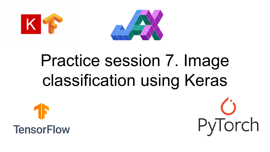

# Practice session 7. Image classification using Keras



PyTorch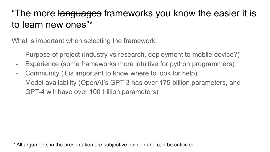## "The more languages frameworks you know the easier it is to learn new ones"\*

What is important when selecting the framework:

- Purpose of project (industry vs research, deployment to mobile device?)
- Experience (some frameworks more intuitive for python programmers)
- Community (it is important to know where to look for help)
- Model availability (OpenAI's GPT-3 has over 175 billion parameters, and GPT-4 will have over 100 trillion parameters)

\* All arguments in the presentation are subjective opinion and can be criticized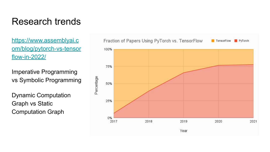#### Research trends

[https://www.assemblyai.c](https://www.assemblyai.com/blog/pytorch-vs-tensorflow-in-2022/) [om/blog/pytorch-vs-tensor](https://www.assemblyai.com/blog/pytorch-vs-tensorflow-in-2022/) [flow-in-2022/](https://www.assemblyai.com/blog/pytorch-vs-tensorflow-in-2022/)

Imperative Programming vs Symbolic Programming

Dynamic Computation Graph vs Static Computation Graph

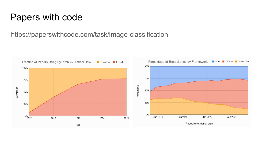### Papers with code

https://paperswithcode.com/task/image-classification

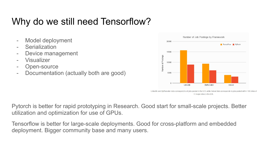## Why do we still need Tensorflow?

- Model deployment
- **Serialization**
- Device management
- **Visualizer**
- Open-source
- Documentation (actually both are good)



LinkedIn and ZipRecruiter data correspond to all jobs posted in the U.S. while Indeed data corresponds to jobs posted within 100 miles of 11 major cities in the U.S.

Pytorch is better for rapid prototyping in Research. Good start for small-scale projects. Better utilization and optimization for use of GPUs.

Tensorflow is better for large-scale deployments. Good for cross-platform and embedded deployment. Bigger community base and many users.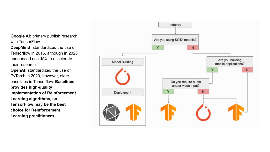**Google AI:** primary publish research with TensorFlow

**DeepMind:** standardized the use of Tensorflow in 2016, although in 2020 announced use JAX to accelerate their research

**OpenAI:** standardized the use of PyTorch in 2020, however, older baselines in Tensorflow. **Baselines provides high-quality implementation of Reinforcement Learning algorithms, so TensorFlow may be the best choice for Reinforcement Learning practitioners.** 

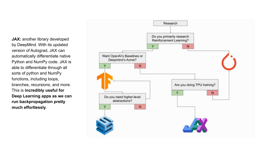**JAX:** another library developed by DeepMind. With its updated version of Autograd, JAX can automatically differentiate native Python and NumPy code. JAX is able to differentiate through all sorts of python and NumPy functions, including loops, branches, recursions, and more. This is **incredibly useful for Deep Learning apps as we can run backpropagation pretty much effortlessly**.

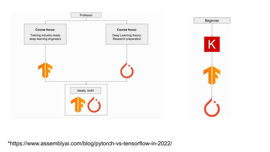

\*https://www.assemblyai.com/blog/pytorch-vs-tensorflow-in-2022/